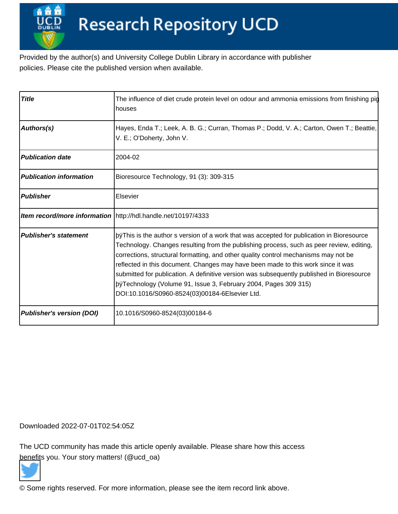Provided by the author(s) and University College Dublin Library in accordance with publisher policies. Please cite the published version when available.

| <b>Title</b>                   | The influence of diet crude protein level on odour and ammonia emissions from finishing pig<br>houses                                                                                                                                                                                                                                                                                                                                                                                                                                                |     |
|--------------------------------|------------------------------------------------------------------------------------------------------------------------------------------------------------------------------------------------------------------------------------------------------------------------------------------------------------------------------------------------------------------------------------------------------------------------------------------------------------------------------------------------------------------------------------------------------|-----|
| Authors(s)                     | Hayes, Enda T.; Leek, A. B. G.; Curran, Thomas P.; Dodd, V. A.; Carton, Owen T.; Beattie,<br>V. E.; O'Doherty, John V.                                                                                                                                                                                                                                                                                                                                                                                                                               |     |
| <b>Publication date</b>        | 2004-02                                                                                                                                                                                                                                                                                                                                                                                                                                                                                                                                              |     |
| <b>Publication information</b> | Bioresource Technology, 91 (3): 309-315                                                                                                                                                                                                                                                                                                                                                                                                                                                                                                              |     |
| Publisher                      | <b>IElsevier</b>                                                                                                                                                                                                                                                                                                                                                                                                                                                                                                                                     |     |
|                                | Item record/more information http://hdl.handle.net/10197/4333                                                                                                                                                                                                                                                                                                                                                                                                                                                                                        |     |
| <b>Publisher's statement</b>   | $ $ pÿThis is the author s version of a work that was accepted fo<br>Technology. Changes resulting from the publishing process, such as peer review, editing,<br>corrections, structural formatting, and other quality control mechanisms may not be<br>reflected in this document. Changes may have been made to this work since it was<br>submitted for publication. A definitive version was subsequently published in Bioresource<br> þÿTechnology (Volume 91, Issue 3, February 2004, Pages <br>DOI:10.1016/S0960-8524(03)00184-6 Elsevier Ltd. | 309 |
| Publisher's version (DOI)      | 10.1016/S0960-8524(03)00184-6                                                                                                                                                                                                                                                                                                                                                                                                                                                                                                                        |     |

Downloaded 2022-07-01T02:54:05Z

The UCD community has made this article openly available. Please share how this access [benefit](https://twitter.com/intent/tweet?via=ucd_oa&text=DOI%3A10.1016%2FS0960-8524%2803%2900184-6&url=http%3A%2F%2Fhdl.handle.net%2F10197%2F4333)s you. Your story matters! (@ucd\_oa)



© Some rights reserved. For more information, please see the item record link above.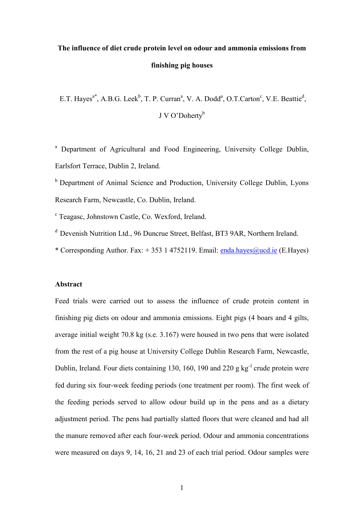# **The influence of diet crude protein level on odour and ammonia emissions from finishing pig houses**

E.T. Hayes<sup>a\*</sup>, A.B.G. Leek<sup>b</sup>, T. P. Curran<sup>a</sup>, V. A. Dodd<sup>a</sup>, O.T.Carton<sup>c</sup>, V.E. Beattie<sup>d</sup>, J V O'Doherty<sup>b</sup>

<sup>a</sup> Department of Agricultural and Food Engineering, University College Dublin, Earlsfort Terrace, Dublin 2, Ireland.

 $<sup>b</sup>$  Department of Animal Science and Production, University College Dublin, Lyons</sup> Research Farm, Newcastle, Co. Dublin, Ireland.

<sup>c</sup> Teagasc, Johnstown Castle, Co. Wexford, Ireland.

- $d$  Devenish Nutrition Ltd., 96 Duncrue Street, Belfast, BT3 9AR, Northern Ireland.
- \* Corresponding Author. Fax:  $+ 353$  1 4752119. Email: [enda.hayes@ucd.ie](mailto:enda.hayes@ucd.ie) (E.Hayes)

### **Abstract**

Feed trials were carried out to assess the influence of crude protein content in finishing pig diets on odour and ammonia emissions. Eight pigs (4 boars and 4 gilts, average initial weight 70.8 kg (s.e. 3.167) were housed in two pens that were isolated from the rest of a pig house at University College Dublin Research Farm, Newcastle, Dublin, Ireland. Four diets containing 130, 160, 190 and 220 g  $kg^{-1}$  crude protein were fed during six four-week feeding periods (one treatment per room). The first week of the feeding periods served to allow odour build up in the pens and as a dietary adjustment period. The pens had partially slatted floors that were cleaned and had all the manure removed after each four-week period. Odour and ammonia concentrations were measured on days 9, 14, 16, 21 and 23 of each trial period. Odour samples were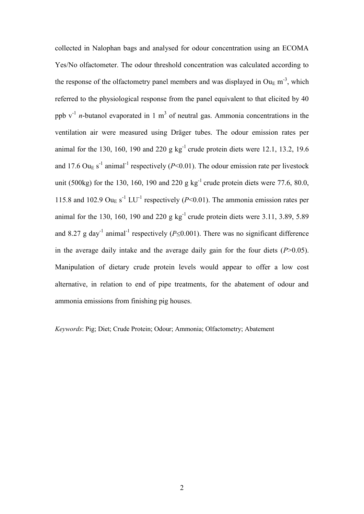collected in Nalophan bags and analysed for odour concentration using an ECOMA Yes/No olfactometer. The odour threshold concentration was calculated according to the response of the olfactometry panel members and was displayed in Ou<sub>E</sub> m<sup>-3</sup>, which referred to the physiological response from the panel equivalent to that elicited by 40 ppb  $v^{-1}$  *n*-butanol evaporated in 1 m<sup>3</sup> of neutral gas. Ammonia concentrations in the ventilation air were measured using Dräger tubes. The odour emission rates per animal for the 130, 160, 190 and 220 g  $kg^{-1}$  crude protein diets were 12.1, 13.2, 19.6 and 17.6 Ou<sub>E</sub> s<sup>-1</sup> animal<sup>-1</sup> respectively ( $P$ <0.01). The odour emission rate per livestock unit (500kg) for the 130, 160, 190 and 220 g kg<sup>-1</sup> crude protein diets were 77.6, 80.0, 115.8 and 102.9 Ou<sub>E</sub> s<sup>-1</sup> LU<sup>-1</sup> respectively ( $P$ <0.01). The ammonia emission rates per animal for the 130, 160, 190 and 220 g  $kg^{-1}$  crude protein diets were 3.11, 3.89, 5.89 and 8.27 g day<sup>-1</sup> animal<sup>-1</sup> respectively ( $P \le 0.001$ ). There was no significant difference in the average daily intake and the average daily gain for the four diets  $(P>0.05)$ . Manipulation of dietary crude protein levels would appear to offer a low cost alternative, in relation to end of pipe treatments, for the abatement of odour and ammonia emissions from finishing pig houses.

*Keywords*: Pig; Diet; Crude Protein; Odour; Ammonia; Olfactometry; Abatement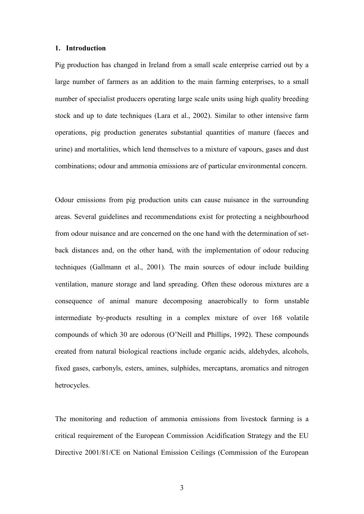#### **1. Introduction**

Pig production has changed in Ireland from a small scale enterprise carried out by a large number of farmers as an addition to the main farming enterprises, to a small number of specialist producers operating large scale units using high quality breeding stock and up to date techniques (Lara et al., 2002). Similar to other intensive farm operations, pig production generates substantial quantities of manure (faeces and urine) and mortalities, which lend themselves to a mixture of vapours, gases and dust combinations; odour and ammonia emissions are of particular environmental concern.

Odour emissions from pig production units can cause nuisance in the surrounding areas. Several guidelines and recommendations exist for protecting a neighbourhood from odour nuisance and are concerned on the one hand with the determination of setback distances and, on the other hand, with the implementation of odour reducing techniques (Gallmann et al., 2001). The main sources of odour include building ventilation, manure storage and land spreading. Often these odorous mixtures are a consequence of animal manure decomposing anaerobically to form unstable intermediate by-products resulting in a complex mixture of over 168 volatile compounds of which 30 are odorous (O'Neill and Phillips, 1992). These compounds created from natural biological reactions include organic acids, aldehydes, alcohols, fixed gases, carbonyls, esters, amines, sulphides, mercaptans, aromatics and nitrogen hetrocycles.

The monitoring and reduction of ammonia emissions from livestock farming is a critical requirement of the European Commission Acidification Strategy and the EU Directive 2001/81/CE on National Emission Ceilings (Commission of the European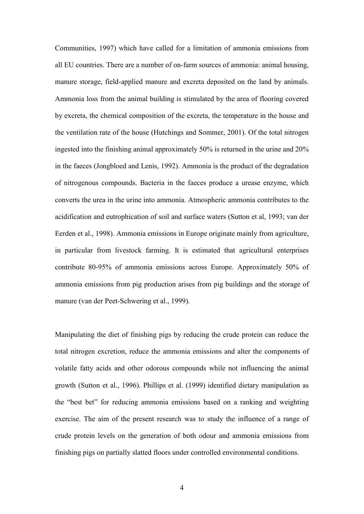Communities, 1997) which have called for a limitation of ammonia emissions from all EU countries. There are a number of on-farm sources of ammonia: animal housing, manure storage, field-applied manure and excreta deposited on the land by animals. Ammonia loss from the animal building is stimulated by the area of flooring covered by excreta, the chemical composition of the excreta, the temperature in the house and the ventilation rate of the house (Hutchings and Sommer, 2001). Of the total nitrogen ingested into the finishing animal approximately 50% is returned in the urine and 20% in the faeces (Jongbloed and Lenis, 1992). Ammonia is the product of the degradation of nitrogenous compounds. Bacteria in the faeces produce a urease enzyme, which converts the urea in the urine into ammonia. Atmospheric ammonia contributes to the acidification and eutrophication of soil and surface waters (Sutton et al, 1993; van der Eerden et al., 1998). Ammonia emissions in Europe originate mainly from agriculture, in particular from livestock farming. It is estimated that agricultural enterprises contribute 80-95% of ammonia emissions across Europe. Approximately 50% of ammonia emissions from pig production arises from pig buildings and the storage of manure (van der Peet-Schwering et al., 1999).

Manipulating the diet of finishing pigs by reducing the crude protein can reduce the total nitrogen excretion, reduce the ammonia emissions and alter the components of volatile fatty acids and other odorous compounds while not influencing the animal growth (Sutton et al., 1996). Phillips et al. (1999) identified dietary manipulation as the "best bet" for reducing ammonia emissions based on a ranking and weighting exercise. The aim of the present research was to study the influence of a range of crude protein levels on the generation of both odour and ammonia emissions from finishing pigs on partially slatted floors under controlled environmental conditions.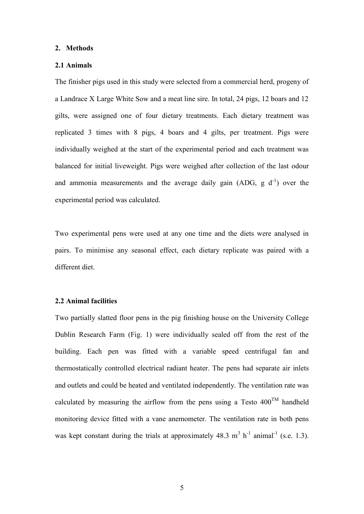#### **2. Methods**

## **2.1 Animals**

The finisher pigs used in this study were selected from a commercial herd, progeny of a Landrace X Large White Sow and a meat line sire. In total, 24 pigs, 12 boars and 12 gilts, were assigned one of four dietary treatments. Each dietary treatment was replicated 3 times with 8 pigs, 4 boars and 4 gilts, per treatment. Pigs were individually weighed at the start of the experimental period and each treatment was balanced for initial liveweight. Pigs were weighed after collection of the last odour and ammonia measurements and the average daily gain (ADG,  $g/d^{-1}$ ) over the experimental period was calculated.

Two experimental pens were used at any one time and the diets were analysed in pairs. To minimise any seasonal effect, each dietary replicate was paired with a different diet.

## **2.2 Animal facilities**

Two partially slatted floor pens in the pig finishing house on the University College Dublin Research Farm (Fig. 1) were individually sealed off from the rest of the building. Each pen was fitted with a variable speed centrifugal fan and thermostatically controlled electrical radiant heater. The pens had separate air inlets and outlets and could be heated and ventilated independently. The ventilation rate was calculated by measuring the airflow from the pens using a Testo  $400^{TM}$  handheld monitoring device fitted with a vane anemometer. The ventilation rate in both pens was kept constant during the trials at approximately  $48.3 \text{ m}^3 \text{ h}^{-1}$  animal<sup>-1</sup> (s.e. 1.3).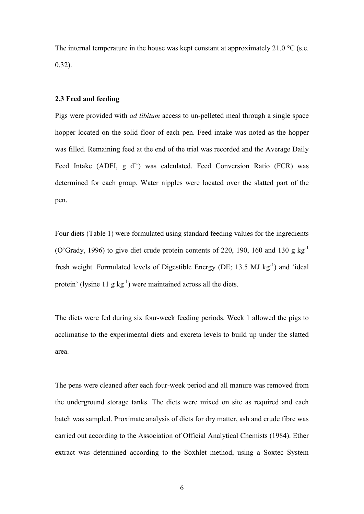The internal temperature in the house was kept constant at approximately 21.0  $^{\circ}$ C (s.e. 0.32).

## **2.3 Feed and feeding**

Pigs were provided with *ad libitum* access to un-pelleted meal through a single space hopper located on the solid floor of each pen. Feed intake was noted as the hopper was filled. Remaining feed at the end of the trial was recorded and the Average Daily Feed Intake (ADFI,  $g d^{-1}$ ) was calculated. Feed Conversion Ratio (FCR) was determined for each group. Water nipples were located over the slatted part of the pen.

Four diets (Table 1) were formulated using standard feeding values for the ingredients (O'Grady, 1996) to give diet crude protein contents of 220, 190, 160 and 130 g  $kg^{-1}$ fresh weight. Formulated levels of Digestible Energy (DE; 13.5 MJ  $kg^{-1}$ ) and 'ideal protein' (lysine 11 g  $kg^{-1}$ ) were maintained across all the diets.

The diets were fed during six four-week feeding periods. Week 1 allowed the pigs to acclimatise to the experimental diets and excreta levels to build up under the slatted area.

The pens were cleaned after each four-week period and all manure was removed from the underground storage tanks. The diets were mixed on site as required and each batch was sampled. Proximate analysis of diets for dry matter, ash and crude fibre was carried out according to the Association of Official Analytical Chemists (1984). Ether extract was determined according to the Soxhlet method, using a Soxtec System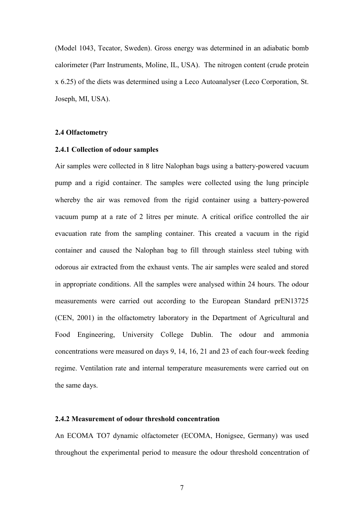(Model 1043, Tecator, Sweden). Gross energy was determined in an adiabatic bomb calorimeter (Parr Instruments, Moline, IL, USA). The nitrogen content (crude protein x 6.25) of the diets was determined using a Leco Autoanalyser (Leco Corporation, St. Joseph, MI, USA).

## **2.4 Olfactometry**

#### **2.4.1 Collection of odour samples**

Air samples were collected in 8 litre Nalophan bags using a battery-powered vacuum pump and a rigid container. The samples were collected using the lung principle whereby the air was removed from the rigid container using a battery-powered vacuum pump at a rate of 2 litres per minute. A critical orifice controlled the air evacuation rate from the sampling container. This created a vacuum in the rigid container and caused the Nalophan bag to fill through stainless steel tubing with odorous air extracted from the exhaust vents. The air samples were sealed and stored in appropriate conditions. All the samples were analysed within 24 hours. The odour measurements were carried out according to the European Standard prEN13725 (CEN, 2001) in the olfactometry laboratory in the Department of Agricultural and Food Engineering, University College Dublin. The odour and ammonia concentrations were measured on days 9, 14, 16, 21 and 23 of each four-week feeding regime. Ventilation rate and internal temperature measurements were carried out on the same days.

## **2.4.2 Measurement of odour threshold concentration**

An ECOMA TO7 dynamic olfactometer (ECOMA, Honigsee, Germany) was used throughout the experimental period to measure the odour threshold concentration of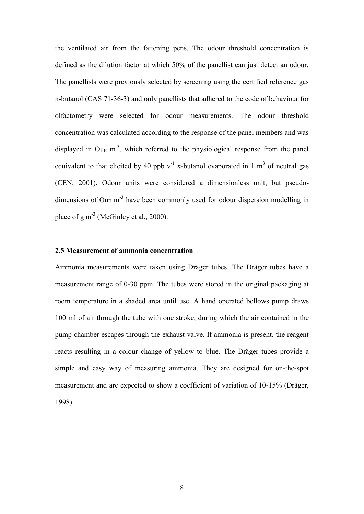the ventilated air from the fattening pens. The odour threshold concentration is defined as the dilution factor at which 50% of the panellist can just detect an odour. The panellists were previously selected by screening using the certified reference gas n-butanol (CAS 71-36-3) and only panellists that adhered to the code of behaviour for olfactometry were selected for odour measurements. The odour threshold concentration was calculated according to the response of the panel members and was displayed in Ou<sub>E</sub> m<sup>-3</sup>, which referred to the physiological response from the panel equivalent to that elicited by 40 ppb  $v^{-1}$  *n*-butanol evaporated in 1 m<sup>3</sup> of neutral gas (CEN, 2001). Odour units were considered a dimensionless unit, but pseudodimensions of  $Ou<sub>E</sub>$  m<sup>-3</sup> have been commonly used for odour dispersion modelling in place of  $g m^{-3}$  (McGinley et al., 2000).

## **2.5 Measurement of ammonia concentration**

Ammonia measurements were taken using Dräger tubes. The Dräger tubes have a measurement range of 0-30 ppm. The tubes were stored in the original packaging at room temperature in a shaded area until use. A hand operated bellows pump draws 100 ml of air through the tube with one stroke, during which the air contained in the pump chamber escapes through the exhaust valve. If ammonia is present, the reagent reacts resulting in a colour change of yellow to blue. The Dräger tubes provide a simple and easy way of measuring ammonia. They are designed for on-the-spot measurement and are expected to show a coefficient of variation of 10-15% (Dräger, 1998).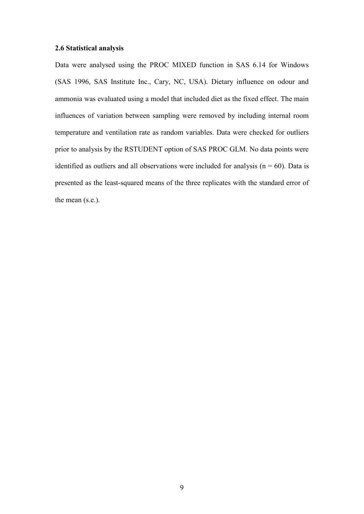## **2.6 Statistical analysis**

Data were analysed using the PROC MIXED function in SAS 6.14 for Windows (SAS 1996, SAS Institute Inc., Cary, NC, USA). Dietary influence on odour and ammonia was evaluated using a model that included diet as the fixed effect. The main influences of variation between sampling were removed by including internal room temperature and ventilation rate as random variables. Data were checked for outliers prior to analysis by the RSTUDENT option of SAS PROC GLM. No data points were identified as outliers and all observations were included for analysis ( $n = 60$ ). Data is presented as the least-squared means of the three replicates with the standard error of the mean (s.e.).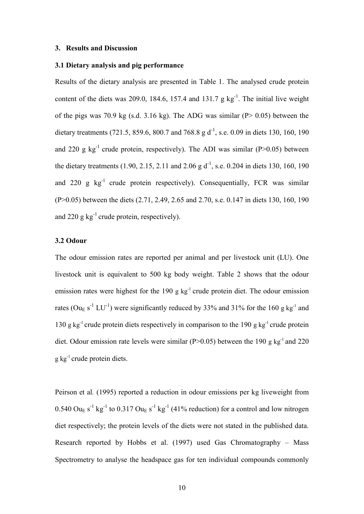#### **3. Results and Discussion**

## **3.1 Dietary analysis and pig performance**

Results of the dietary analysis are presented in Table 1. The analysed crude protein content of the diets was 209.0, 184.6, 157.4 and 131.7  $g kg^{-1}$ . The initial live weight of the pigs was 70.9 kg (s.d. 3.16 kg). The ADG was similar (P> 0.05) between the dietary treatments (721.5, 859.6, 800.7 and 768.8 g  $d^{-1}$ , s.e. 0.09 in diets 130, 160, 190 and 220 g  $kg^{-1}$  crude protein, respectively). The ADI was similar (P>0.05) between the dietary treatments  $(1.90, 2.15, 2.11$  and  $2.06$  g d<sup>-1</sup>, s.e. 0.204 in diets 130, 160, 190 and 220 g kg<sup>-1</sup> crude protein respectively). Consequentially, FCR was similar (P>0.05) between the diets (2.71, 2.49, 2.65 and 2.70, s.e. 0.147 in diets 130, 160, 190 and 220 g  $kg^{-1}$  crude protein, respectively).

## **3.2 Odour**

The odour emission rates are reported per animal and per livestock unit (LU). One livestock unit is equivalent to 500 kg body weight. Table 2 shows that the odour emission rates were highest for the 190 g  $kg^{-1}$  crude protein diet. The odour emission rates (Ou<sub>E</sub> s<sup>-1</sup> LU<sup>-1</sup>) were significantly reduced by 33% and 31% for the 160 g kg<sup>-1</sup> and 130 g kg<sup>-1</sup> crude protein diets respectively in comparison to the 190 g kg<sup>-1</sup> crude protein diet. Odour emission rate levels were similar ( $P > 0.05$ ) between the 190 g kg<sup>-1</sup> and 220 g kg-1 crude protein diets.

Peirson et al*.* (1995) reported a reduction in odour emissions per kg liveweight from  $0.540 \text{ Ou}_E \text{ s}^{-1} \text{ kg}^{-1}$  to  $0.317 \text{ Ou}_E \text{ s}^{-1} \text{ kg}^{-1}$  (41% reduction) for a control and low nitrogen diet respectively; the protein levels of the diets were not stated in the published data. Research reported by Hobbs et al. (1997) used Gas Chromatography – Mass Spectrometry to analyse the headspace gas for ten individual compounds commonly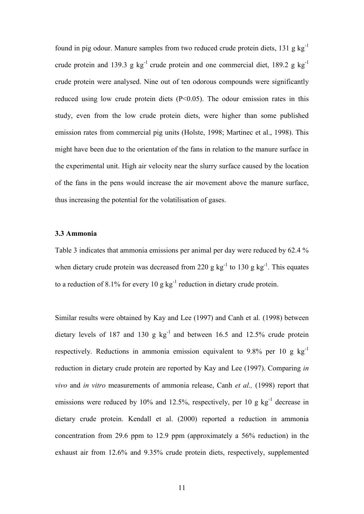found in pig odour. Manure samples from two reduced crude protein diets,  $131 \text{ g kg}^{-1}$ crude protein and 139.3 g kg<sup>-1</sup> crude protein and one commercial diet, 189.2 g kg<sup>-1</sup> crude protein were analysed. Nine out of ten odorous compounds were significantly reduced using low crude protein diets (P<0.05). The odour emission rates in this study, even from the low crude protein diets, were higher than some published emission rates from commercial pig units (Holste, 1998; Martinec et al., 1998). This might have been due to the orientation of the fans in relation to the manure surface in the experimental unit. High air velocity near the slurry surface caused by the location of the fans in the pens would increase the air movement above the manure surface, thus increasing the potential for the volatilisation of gases.

## **3.3 Ammonia**

Table 3 indicates that ammonia emissions per animal per day were reduced by 62.4 % when dietary crude protein was decreased from 220 g  $\text{kg}^{-1}$  to 130 g  $\text{kg}^{-1}$ . This equates to a reduction of 8.1% for every 10 g  $kg^{-1}$  reduction in dietary crude protein.

Similar results were obtained by Kay and Lee (1997) and Canh et al*.* (1998) between dietary levels of 187 and 130 g  $kg^{-1}$  and between 16.5 and 12.5% crude protein respectively. Reductions in ammonia emission equivalent to 9.8% per 10 g  $kg^{-1}$ reduction in dietary crude protein are reported by Kay and Lee (1997). Comparing *in vivo* and *in vitro* measurements of ammonia release, Canh *et al.,* (1998) report that emissions were reduced by 10% and 12.5%, respectively, per 10 g  $kg^{-1}$  decrease in dietary crude protein. Kendall et al. (2000) reported a reduction in ammonia concentration from 29.6 ppm to 12.9 ppm (approximately a 56% reduction) in the exhaust air from 12.6% and 9.35% crude protein diets, respectively, supplemented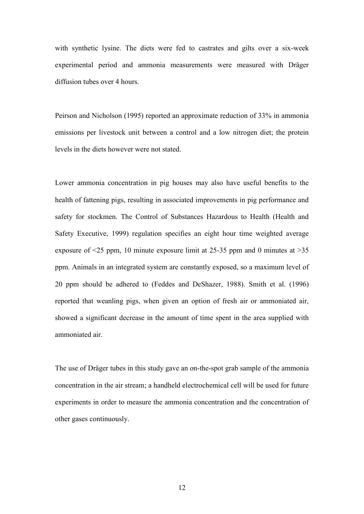with synthetic lysine. The diets were fed to castrates and gilts over a six-week experimental period and ammonia measurements were measured with Dräger diffusion tubes over 4 hours.

Peirson and Nicholson (1995) reported an approximate reduction of 33% in ammonia emissions per livestock unit between a control and a low nitrogen diet; the protein levels in the diets however were not stated.

Lower ammonia concentration in pig houses may also have useful benefits to the health of fattening pigs, resulting in associated improvements in pig performance and safety for stockmen. The Control of Substances Hazardous to Health (Health and Safety Executive, 1999) regulation specifies an eight hour time weighted average exposure of  $\leq$ 25 ppm, 10 minute exposure limit at 25-35 ppm and 0 minutes at  $\geq$ 35 ppm. Animals in an integrated system are constantly exposed, so a maximum level of 20 ppm should be adhered to (Feddes and DeShazer, 1988). Smith et al. (1996) reported that weanling pigs, when given an option of fresh air or ammoniated air, showed a significant decrease in the amount of time spent in the area supplied with ammoniated air.

The use of Dräger tubes in this study gave an on-the-spot grab sample of the ammonia concentration in the air stream; a handheld electrochemical cell will be used for future experiments in order to measure the ammonia concentration and the concentration of other gases continuously.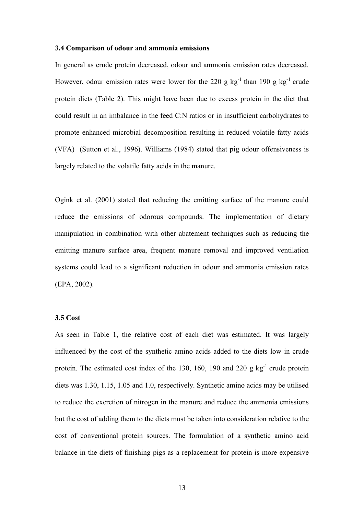#### **3.4 Comparison of odour and ammonia emissions**

In general as crude protein decreased, odour and ammonia emission rates decreased. However, odour emission rates were lower for the 220 g kg<sup>-1</sup> than 190 g kg<sup>-1</sup> crude protein diets (Table 2). This might have been due to excess protein in the diet that could result in an imbalance in the feed C:N ratios or in insufficient carbohydrates to promote enhanced microbial decomposition resulting in reduced volatile fatty acids (VFA) (Sutton et al., 1996). Williams (1984) stated that pig odour offensiveness is largely related to the volatile fatty acids in the manure.

Ogink et al. (2001) stated that reducing the emitting surface of the manure could reduce the emissions of odorous compounds. The implementation of dietary manipulation in combination with other abatement techniques such as reducing the emitting manure surface area, frequent manure removal and improved ventilation systems could lead to a significant reduction in odour and ammonia emission rates (EPA, 2002).

## **3.5 Cost**

As seen in Table 1, the relative cost of each diet was estimated. It was largely influenced by the cost of the synthetic amino acids added to the diets low in crude protein. The estimated cost index of the 130, 160, 190 and 220 g  $kg^{-1}$  crude protein diets was 1.30, 1.15, 1.05 and 1.0, respectively. Synthetic amino acids may be utilised to reduce the excretion of nitrogen in the manure and reduce the ammonia emissions but the cost of adding them to the diets must be taken into consideration relative to the cost of conventional protein sources. The formulation of a synthetic amino acid balance in the diets of finishing pigs as a replacement for protein is more expensive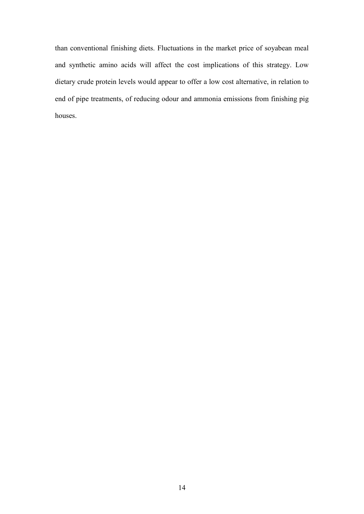than conventional finishing diets. Fluctuations in the market price of soyabean meal and synthetic amino acids will affect the cost implications of this strategy. Low dietary crude protein levels would appear to offer a low cost alternative, in relation to end of pipe treatments, of reducing odour and ammonia emissions from finishing pig houses.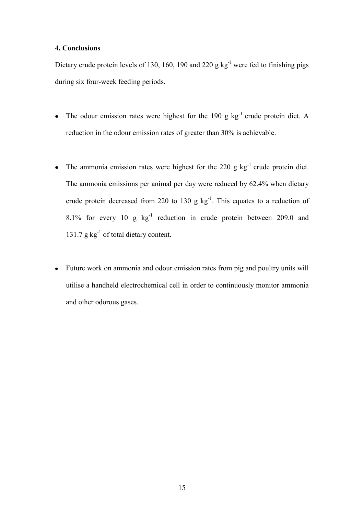## **4. Conclusions**

Dietary crude protein levels of 130, 160, 190 and 220 g kg<sup>-1</sup> were fed to finishing pigs during six four-week feeding periods.

- The odour emission rates were highest for the  $190 \text{ g kg}^{-1}$  crude protein diet. A reduction in the odour emission rates of greater than 30% is achievable.
- The ammonia emission rates were highest for the 220 g  $kg^{-1}$  crude protein diet.  $\bullet$ The ammonia emissions per animal per day were reduced by 62.4% when dietary crude protein decreased from 220 to 130 g  $kg^{-1}$ . This equates to a reduction of 8.1% for every 10  $g$   $kg^{-1}$  reduction in crude protein between 209.0 and 131.7  $g kg^{-1}$  of total dietary content.
- Future work on ammonia and odour emission rates from pig and poultry units will  $\bullet$ utilise a handheld electrochemical cell in order to continuously monitor ammonia and other odorous gases.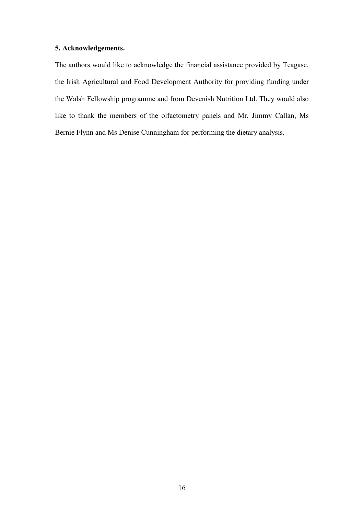## **5. Acknowledgements.**

The authors would like to acknowledge the financial assistance provided by Teagasc, the Irish Agricultural and Food Development Authority for providing funding under the Walsh Fellowship programme and from Devenish Nutrition Ltd. They would also like to thank the members of the olfactometry panels and Mr. Jimmy Callan, Ms Bernie Flynn and Ms Denise Cunningham for performing the dietary analysis.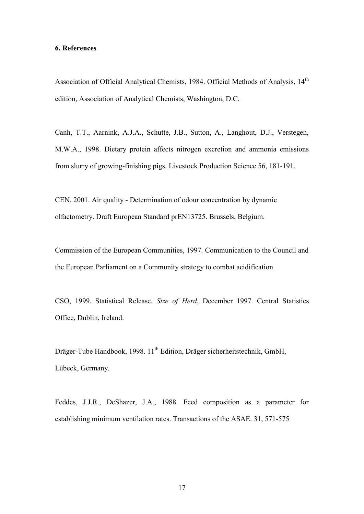#### **6. References**

Association of Official Analytical Chemists, 1984. Official Methods of Analysis, 14<sup>th</sup> edition, Association of Analytical Chemists, Washington, D.C.

Canh, T.T., Aarnink, A.J.A., Schutte, J.B., Sutton, A., Langhout, D.J., Verstegen, M.W.A., 1998. Dietary protein affects nitrogen excretion and ammonia emissions from slurry of growing-finishing pigs. Livestock Production Science 56, 181-191.

CEN, 2001. Air quality - Determination of odour concentration by dynamic olfactometry. Draft European Standard prEN13725. Brussels, Belgium.

Commission of the European Communities, 1997. Communication to the Council and the European Parliament on a Community strategy to combat acidification.

CSO, 1999. Statistical Release. *Size of Herd*, December 1997. Central Statistics Office, Dublin, Ireland.

Dräger-Tube Handbook, 1998. 11<sup>th</sup> Edition, Dräger sicherheitstechnik, GmbH, Lübeck, Germany.

Feddes, J.J.R., DeShazer, J.A., 1988. Feed composition as a parameter for establishing minimum ventilation rates. Transactions of the ASAE. 31, 571-575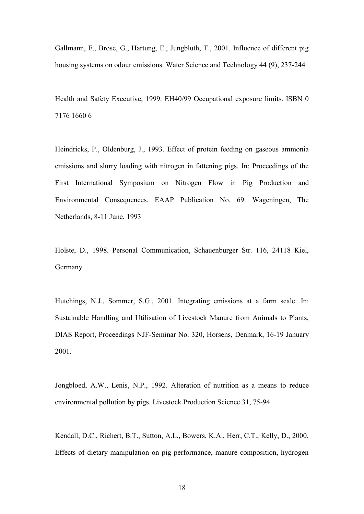Gallmann, E., Brose, G., Hartung, E., Jungbluth, T., 2001. Influence of different pig housing systems on odour emissions. Water Science and Technology 44 (9), 237-244

Health and Safety Executive, 1999. EH40/99 Occupational exposure limits. ISBN 0 7176 1660 6

Heindricks, P., Oldenburg, J., 1993. Effect of protein feeding on gaseous ammonia emissions and slurry loading with nitrogen in fattening pigs. In: Proceedings of the First International Symposium on Nitrogen Flow in Pig Production and Environmental Consequences. EAAP Publication No. 69. Wageningen, The Netherlands, 8-11 June, 1993

Holste, D., 1998. Personal Communication, Schauenburger Str. 116, 24118 Kiel, Germany.

Hutchings, N.J., Sommer, S.G., 2001. Integrating emissions at a farm scale. In: Sustainable Handling and Utilisation of Livestock Manure from Animals to Plants, DIAS Report, Proceedings NJF-Seminar No. 320, Horsens, Denmark, 16-19 January 2001.

Jongbloed, A.W., Lenis, N.P., 1992. Alteration of nutrition as a means to reduce environmental pollution by pigs. Livestock Production Science 31, 75-94.

Kendall, D.C., Richert, B.T., Sutton, A.L., Bowers, K.A., Herr, C.T., Kelly, D., 2000. Effects of dietary manipulation on pig performance, manure composition, hydrogen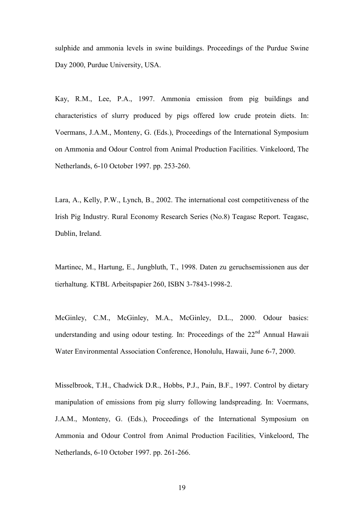sulphide and ammonia levels in swine buildings. Proceedings of the Purdue Swine Day 2000, Purdue University, USA.

Kay, R.M., Lee, P.A., 1997. Ammonia emission from pig buildings and characteristics of slurry produced by pigs offered low crude protein diets. In: Voermans, J.A.M., Monteny, G. (Eds.), Proceedings of the International Symposium on Ammonia and Odour Control from Animal Production Facilities. Vinkeloord, The Netherlands, 6-10 October 1997. pp. 253-260.

Lara, A., Kelly, P.W., Lynch, B., 2002. The international cost competitiveness of the Irish Pig Industry. Rural Economy Research Series (No.8) Teagasc Report. Teagasc, Dublin, Ireland.

Martinec, M., Hartung, E., Jungbluth, T., 1998. Daten zu geruchsemissionen aus der tierhaltung. KTBL Arbeitspapier 260, ISBN 3-7843-1998-2.

McGinley, C.M., McGinley, M.A., McGinley, D.L., 2000. Odour basics: understanding and using odour testing. In: Proceedings of the 22<sup>nd</sup> Annual Hawaii Water Environmental Association Conference, Honolulu, Hawaii, June 6-7, 2000.

Misselbrook, T.H., Chadwick D.R., Hobbs, P.J., Pain, B.F., 1997. Control by dietary manipulation of emissions from pig slurry following landspreading. In: Voermans, J.A.M., Monteny, G. (Eds.), Proceedings of the International Symposium on Ammonia and Odour Control from Animal Production Facilities, Vinkeloord, The Netherlands, 6-10 October 1997. pp. 261-266.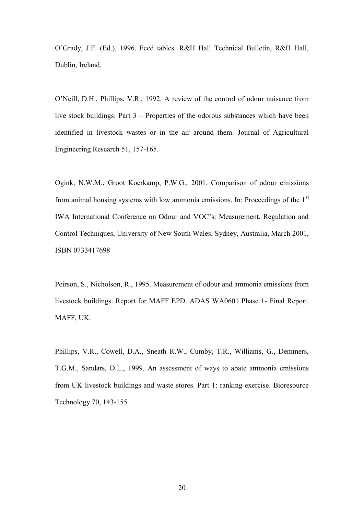O'Grady, J.F. (Ed.), 1996. Feed tables. R&H Hall Technical Bulletin, R&H Hall, Dublin, Ireland.

O'Neill, D.H., Phillips, V.R., 1992. A review of the control of odour nuisance from live stock buildings: Part 3 – Properties of the odorous substances which have been identified in livestock wastes or in the air around them. Journal of Agricultural Engineering Research 51, 157-165.

Ogink, N.W.M., Groot Koerkamp, P.W.G., 2001. Comparison of odour emissions from animal housing systems with low ammonia emissions. In: Proceedings of the  $1<sup>st</sup>$ IWA International Conference on Odour and VOC's: Measurement, Regulation and Control Techniques, University of New South Wales, Sydney, Australia, March 2001, ISBN 0733417698

Peirson, S., Nicholson, R., 1995. Measurement of odour and ammonia emissions from livestock buildings. Report for MAFF EPD. ADAS WA0601 Phase 1- Final Report. MAFF, UK.

Phillips, V.R., Cowell, D.A., Sneath R.W., Cumby, T.R., Williams, G., Demmers, T.G.M., Sandars, D.L., 1999. An assessment of ways to abate ammonia emissions from UK livestock buildings and waste stores. Part 1: ranking exercise. Bioresource Technology 70, 143-155.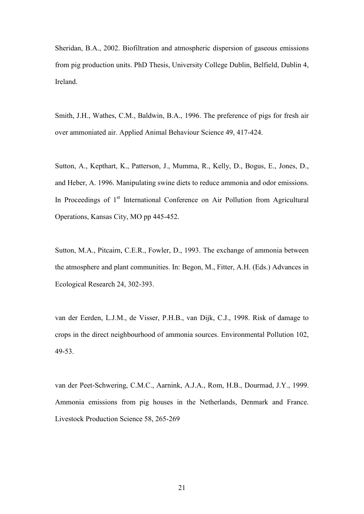Sheridan, B.A., 2002. Biofiltration and atmospheric dispersion of gaseous emissions from pig production units. PhD Thesis, University College Dublin, Belfield, Dublin 4, Ireland.

Smith, J.H., Wathes, C.M., Baldwin, B.A., 1996. The preference of pigs for fresh air over ammoniated air. Applied Animal Behaviour Science 49, 417-424.

Sutton, A., Kepthart, K., Patterson, J., Mumma, R., Kelly, D., Bogus, E., Jones, D., and Heber, A. 1996. Manipulating swine diets to reduce ammonia and odor emissions. In Proceedings of  $1<sup>st</sup>$  International Conference on Air Pollution from Agricultural Operations, Kansas City, MO pp 445-452.

Sutton, M.A., Pitcairn, C.E.R., Fowler, D., 1993. The exchange of ammonia between the atmosphere and plant communities. In: Begon, M., Fitter, A.H. (Eds.) Advances in Ecological Research 24, 302-393.

van der Eerden, L.J.M., de Visser, P.H.B., van Dijk, C.J., 1998. Risk of damage to crops in the direct neighbourhood of ammonia sources. Environmental Pollution 102, 49-53.

van der Peet-Schwering, C.M.C., Aarnink, A.J.A., Rom, H.B., Dourmad, J.Y., 1999. Ammonia emissions from pig houses in the Netherlands, Denmark and France. Livestock Production Science 58, 265-269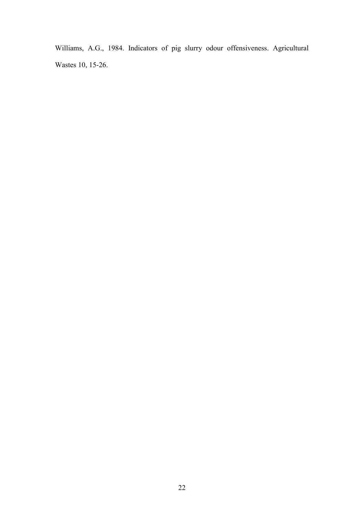Williams, A.G., 1984. Indicators of pig slurry odour offensiveness. Agricultural Wastes 10, 15-26.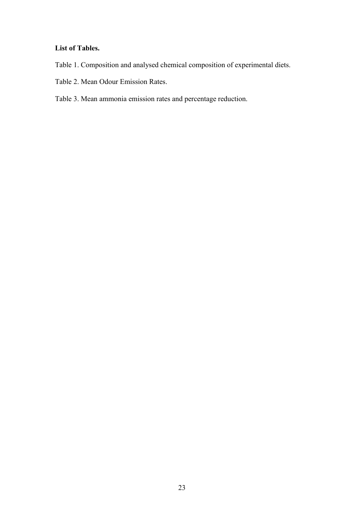## **List of Tables.**

- Table 1. Composition and analysed chemical composition of experimental diets.
- Table 2. Mean Odour Emission Rates.
- Table 3. Mean ammonia emission rates and percentage reduction.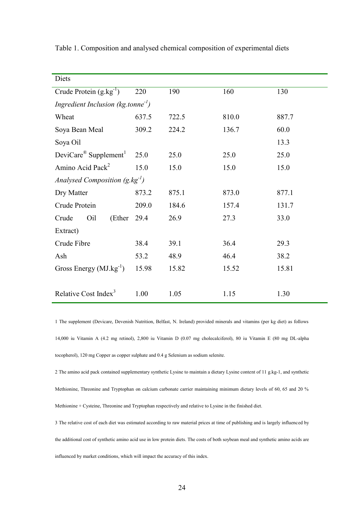| Diets                                             |       |       |       |       |  |  |
|---------------------------------------------------|-------|-------|-------|-------|--|--|
| Crude Protein $(g.kg^{-1})$                       | 220   | 190   | 160   | 130   |  |  |
| Ingredient Inclusion ( $kg$ tonne <sup>-1</sup> ) |       |       |       |       |  |  |
| Wheat                                             | 637.5 | 722.5 | 810.0 | 887.7 |  |  |
| Soya Bean Meal                                    | 309.2 | 224.2 | 136.7 | 60.0  |  |  |
| Soya Oil                                          |       |       |       | 13.3  |  |  |
| DeviCare <sup>®</sup> Supplement <sup>1</sup>     | 25.0  | 25.0  | 25.0  | 25.0  |  |  |
| Amino Acid Pack <sup>2</sup>                      | 15.0  | 15.0  | 15.0  | 15.0  |  |  |
| Analysed Composition $(g.kg^{-1})$                |       |       |       |       |  |  |
| Dry Matter                                        | 873.2 | 875.1 | 873.0 | 877.1 |  |  |
| Crude Protein                                     | 209.0 | 184.6 | 157.4 | 131.7 |  |  |
| Crude<br>Oil<br>(Ether                            | 29.4  | 26.9  | 27.3  | 33.0  |  |  |
| Extract)                                          |       |       |       |       |  |  |
| Crude Fibre                                       | 38.4  | 39.1  | 36.4  | 29.3  |  |  |
| Ash                                               | 53.2  | 48.9  | 46.4  | 38.2  |  |  |
| Gross Energy $(MJ.kg^{-1})$                       | 15.98 | 15.82 | 15.52 | 15.81 |  |  |
|                                                   |       |       |       |       |  |  |
| Relative Cost Index <sup>3</sup>                  | 1.00  | 1.05  | 1.15  | 1.30  |  |  |

Table 1. Composition and analysed chemical composition of experimental diets

1 The supplement (Devicare, Devenish Nutrition, Belfast, N. Ireland) provided minerals and vitamins (per kg diet) as follows 14,000 iu Vitamin A (4.2 mg retinol), 2,800 iu Vitamin D (0.07 mg cholecalciferol), 80 iu Vitamin E (80 mg DL-alpha tocopherol), 120 mg Copper as copper sulphate and 0.4 g Selenium as sodium selenite.

2 The amino acid pack contained supplementary synthetic Lysine to maintain a dietary Lysine content of 11 g.kg-1, and synthetic Methionine, Threonine and Tryptophan on calcium carbonate carrier maintaining minimum dietary levels of 60, 65 and 20 % Methionine + Cysteine, Threonine and Tryptophan respectively and relative to Lysine in the finished diet.

3 The relative cost of each diet was estimated according to raw material prices at time of publishing and is largely influenced by the additional cost of synthetic amino acid use in low protein diets. The costs of both soybean meal and synthetic amino acids are influenced by market conditions, which will impact the accuracy of this index.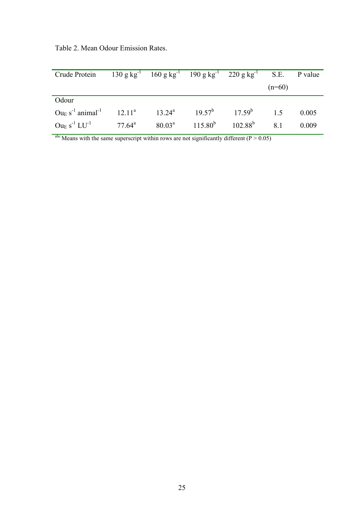| Crude Protein 130 g kg <sup>-1</sup> 160 g kg <sup>-1</sup> 190 g kg <sup>-1</sup> 220 g kg <sup>-1</sup> S.E. P value  |                 |                                 |          |       |
|-------------------------------------------------------------------------------------------------------------------------|-----------------|---------------------------------|----------|-------|
|                                                                                                                         |                 |                                 | $(n=60)$ |       |
| Odour                                                                                                                   |                 |                                 |          |       |
| $Ou_E$ s <sup>-1</sup> animal <sup>-1</sup> 12.11 <sup>a</sup> 13.24 <sup>a</sup> 19.57 <sup>b</sup> 17.59 <sup>b</sup> |                 |                                 | 1.5      | 0.005 |
| $\text{Ou}_\text{E} \text{ s}^{-1}$ $\text{LU}^{-1}$                                                                    | $77.64^{\rm a}$ | $80.03^a$ $115.80^b$ $102.88^b$ | 8.1      | 0.009 |

Table 2. Mean Odour Emission Rates.

<sup>abc</sup> Means with the same superscript within rows are not significantly different ( $P > 0.05$ )